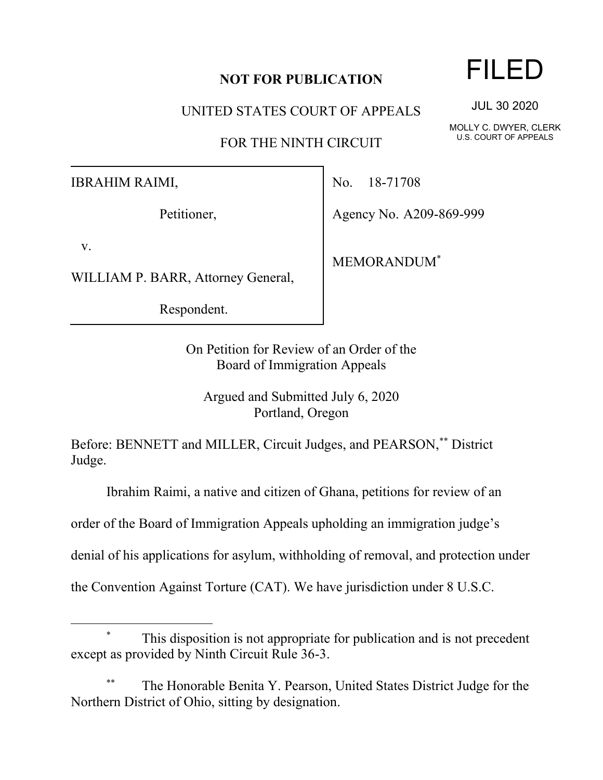## **NOT FOR PUBLICATION**

UNITED STATES COURT OF APPEALS

FOR THE NINTH CIRCUIT

IBRAHIM RAIMI,

Petitioner,

v.

WILLIAM P. BARR, Attorney General,

Respondent.

No. 18-71708

Agency No. A209-869-999

MEMORANDUM\*

On Petition for Review of an Order of the Board of Immigration Appeals

Argued and Submitted July 6, 2020 Portland, Oregon

Before: BENNETT and MILLER, Circuit Judges, and PEARSON,\*\* District Judge.

Ibrahim Raimi, a native and citizen of Ghana, petitions for review of an

order of the Board of Immigration Appeals upholding an immigration judge's

denial of his applications for asylum, withholding of removal, and protection under

the Convention Against Torture (CAT). We have jurisdiction under 8 U.S.C.

The Honorable Benita Y. Pearson, United States District Judge for the Northern District of Ohio, sitting by designation.

## FILED

JUL 30 2020

MOLLY C. DWYER, CLERK U.S. COURT OF APPEALS

This disposition is not appropriate for publication and is not precedent except as provided by Ninth Circuit Rule 36-3.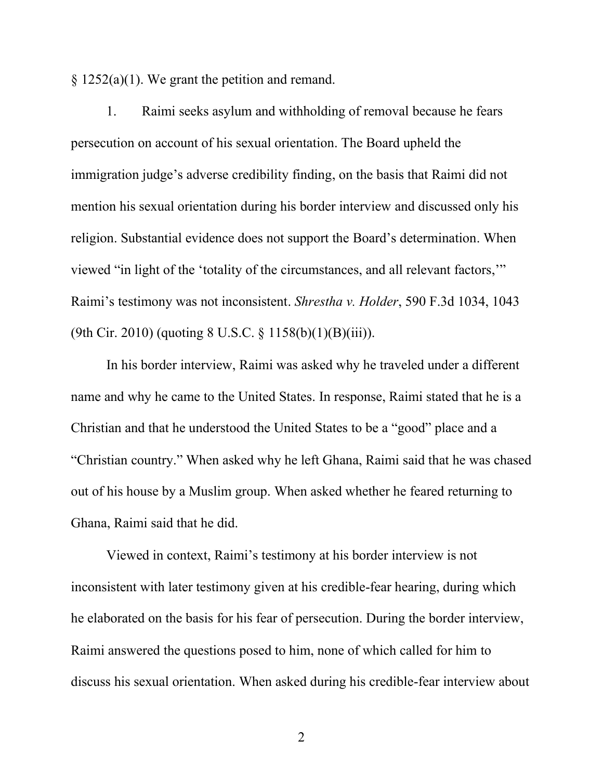§ 1252(a)(1). We grant the petition and remand.

1. Raimi seeks asylum and withholding of removal because he fears persecution on account of his sexual orientation. The Board upheld the immigration judge's adverse credibility finding, on the basis that Raimi did not mention his sexual orientation during his border interview and discussed only his religion. Substantial evidence does not support the Board's determination. When viewed "in light of the 'totality of the circumstances, and all relevant factors,'" Raimi's testimony was not inconsistent. *Shrestha v. Holder*, 590 F.3d 1034, 1043 (9th Cir. 2010) (quoting 8 U.S.C. § 1158(b)(1)(B)(iii)).

In his border interview, Raimi was asked why he traveled under a different name and why he came to the United States. In response, Raimi stated that he is a Christian and that he understood the United States to be a "good" place and a "Christian country." When asked why he left Ghana, Raimi said that he was chased out of his house by a Muslim group. When asked whether he feared returning to Ghana, Raimi said that he did.

Viewed in context, Raimi's testimony at his border interview is not inconsistent with later testimony given at his credible-fear hearing, during which he elaborated on the basis for his fear of persecution. During the border interview, Raimi answered the questions posed to him, none of which called for him to discuss his sexual orientation. When asked during his credible-fear interview about

2 a set of  $\sim$  2 a set of  $\sim$  2 a set of  $\sim$  2 a set of  $\sim$  3 a set of  $\sim$  3 a set of  $\sim$  3 a set of  $\sim$  3 a set of  $\sim$  3 a set of  $\sim$  3 a set of  $\sim$  3 a set of  $\sim$  3 a set of  $\sim$  3 a set of  $\sim$  3 a set of  $\sim$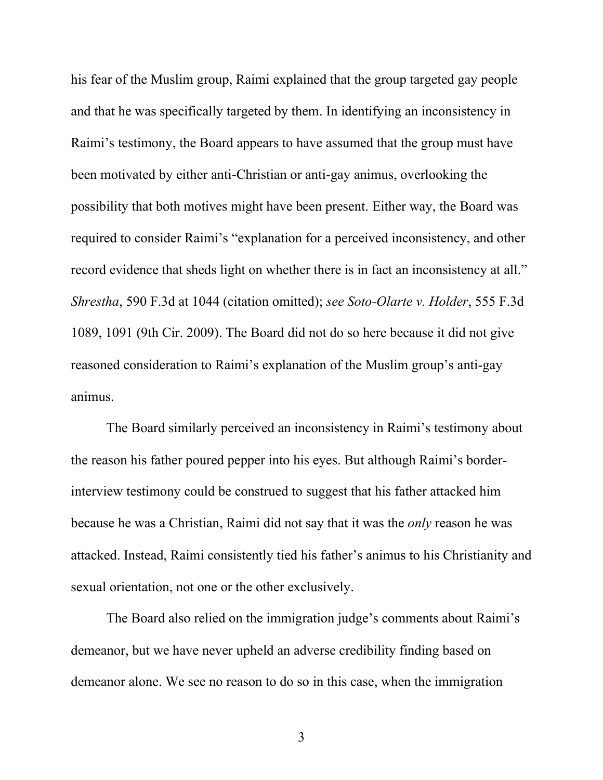his fear of the Muslim group, Raimi explained that the group targeted gay people and that he was specifically targeted by them. In identifying an inconsistency in Raimi's testimony, the Board appears to have assumed that the group must have been motivated by either anti-Christian or anti-gay animus, overlooking the possibility that both motives might have been present. Either way, the Board was required to consider Raimi's "explanation for a perceived inconsistency, and other record evidence that sheds light on whether there is in fact an inconsistency at all." *Shrestha*, 590 F.3d at 1044 (citation omitted); *see Soto-Olarte v. Holder*, 555 F.3d 1089, 1091 (9th Cir. 2009). The Board did not do so here because it did not give reasoned consideration to Raimi's explanation of the Muslim group's anti-gay animus.

The Board similarly perceived an inconsistency in Raimi's testimony about the reason his father poured pepper into his eyes. But although Raimi's borderinterview testimony could be construed to suggest that his father attacked him because he was a Christian, Raimi did not say that it was the *only* reason he was attacked. Instead, Raimi consistently tied his father's animus to his Christianity and sexual orientation, not one or the other exclusively.

The Board also relied on the immigration judge's comments about Raimi's demeanor, but we have never upheld an adverse credibility finding based on demeanor alone. We see no reason to do so in this case, when the immigration

3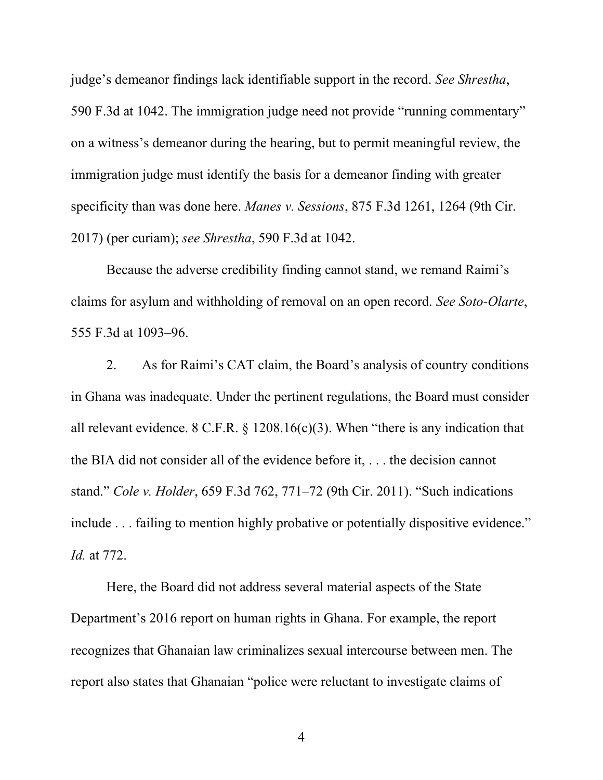judge's demeanor findings lack identifiable support in the record. *See Shrestha*, 590 F.3d at 1042. The immigration judge need not provide "running commentary" on a witness's demeanor during the hearing, but to permit meaningful review, the immigration judge must identify the basis for a demeanor finding with greater specificity than was done here. *Manes v. Sessions*, 875 F.3d 1261, 1264 (9th Cir. 2017) (per curiam); *see Shrestha*, 590 F.3d at 1042.

Because the adverse credibility finding cannot stand, we remand Raimi's claims for asylum and withholding of removal on an open record. *See Soto-Olarte*, 555 F.3d at 1093–96.

2. As for Raimi's CAT claim, the Board's analysis of country conditions in Ghana was inadequate. Under the pertinent regulations, the Board must consider all relevant evidence. 8 C.F.R. § 1208.16(c)(3). When "there is any indication that the BIA did not consider all of the evidence before it, . . . the decision cannot stand." *Cole v. Holder*, 659 F.3d 762, 771–72 (9th Cir. 2011). "Such indications include . . . failing to mention highly probative or potentially dispositive evidence." *Id.* at 772.

Here, the Board did not address several material aspects of the State Department's 2016 report on human rights in Ghana. For example, the report recognizes that Ghanaian law criminalizes sexual intercourse between men. The report also states that Ghanaian "police were reluctant to investigate claims of

4